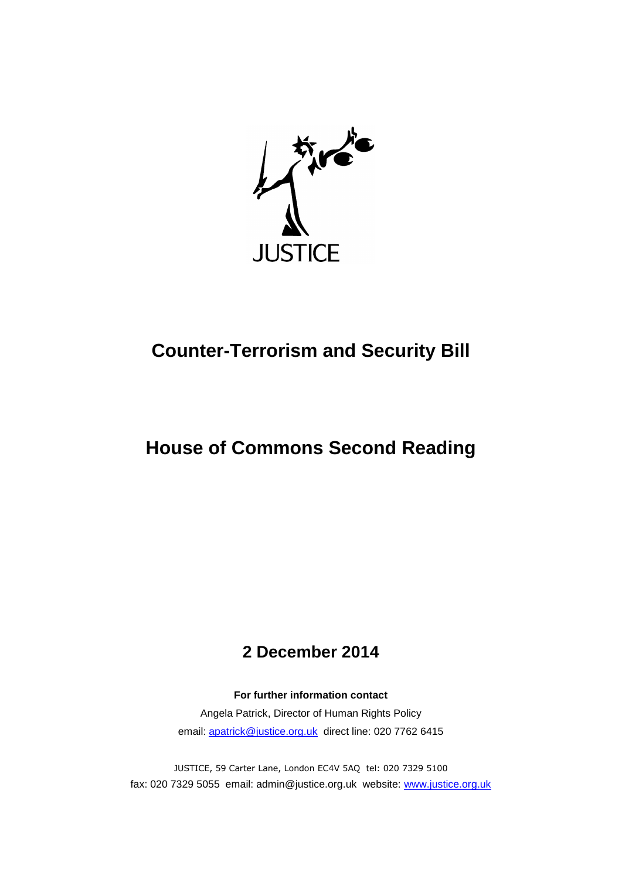

# **Counter-Terrorism and Security Bill**

## **House of Commons Second Reading**

## **2 December 2014**

**For further information contact**

Angela Patrick, Director of Human Rights Policy email: [apatrick@justice.org.uk](mailto:apatrick@justice.org.uk) direct line: 020 7762 6415

JUSTICE, 59 Carter Lane, London EC4V 5AQ tel: 020 7329 5100 fax: 020 7329 5055 email: admin@justice.org.uk website: [www.justice.org.uk](http://www.justice.org.uk/)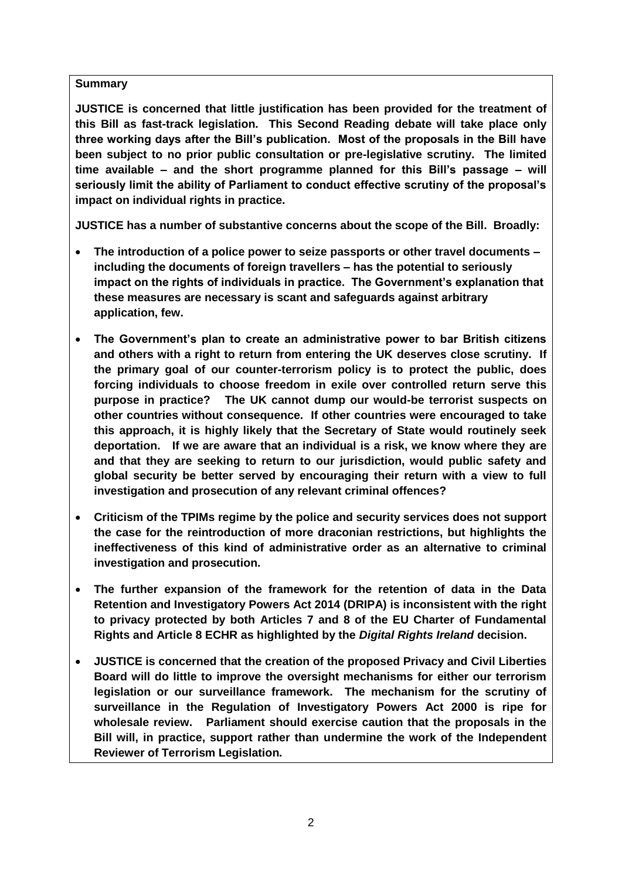## **Summary**

**JUSTICE is concerned that little justification has been provided for the treatment of this Bill as fast-track legislation. This Second Reading debate will take place only three working days after the Bill's publication. Most of the proposals in the Bill have been subject to no prior public consultation or pre-legislative scrutiny. The limited time available – and the short programme planned for this Bill's passage – will seriously limit the ability of Parliament to conduct effective scrutiny of the proposal's impact on individual rights in practice.** 

**JUSTICE has a number of substantive concerns about the scope of the Bill. Broadly:**

- **The introduction of a police power to seize passports or other travel documents – including the documents of foreign travellers – has the potential to seriously impact on the rights of individuals in practice. The Government's explanation that these measures are necessary is scant and safeguards against arbitrary application, few.**
- **The Government's plan to create an administrative power to bar British citizens and others with a right to return from entering the UK deserves close scrutiny. If the primary goal of our counter-terrorism policy is to protect the public, does forcing individuals to choose freedom in exile over controlled return serve this purpose in practice? The UK cannot dump our would-be terrorist suspects on other countries without consequence. If other countries were encouraged to take this approach, it is highly likely that the Secretary of State would routinely seek deportation. If we are aware that an individual is a risk, we know where they are and that they are seeking to return to our jurisdiction, would public safety and global security be better served by encouraging their return with a view to full investigation and prosecution of any relevant criminal offences?**
- **Criticism of the TPIMs regime by the police and security services does not support the case for the reintroduction of more draconian restrictions, but highlights the ineffectiveness of this kind of administrative order as an alternative to criminal investigation and prosecution.**
- **The further expansion of the framework for the retention of data in the Data Retention and Investigatory Powers Act 2014 (DRIPA) is inconsistent with the right to privacy protected by both Articles 7 and 8 of the EU Charter of Fundamental Rights and Article 8 ECHR as highlighted by the** *Digital Rights Ireland* **decision.**
- **JUSTICE is concerned that the creation of the proposed Privacy and Civil Liberties Board will do little to improve the oversight mechanisms for either our terrorism legislation or our surveillance framework. The mechanism for the scrutiny of surveillance in the Regulation of Investigatory Powers Act 2000 is ripe for wholesale review. Parliament should exercise caution that the proposals in the Bill will, in practice, support rather than undermine the work of the Independent Reviewer of Terrorism Legislation.**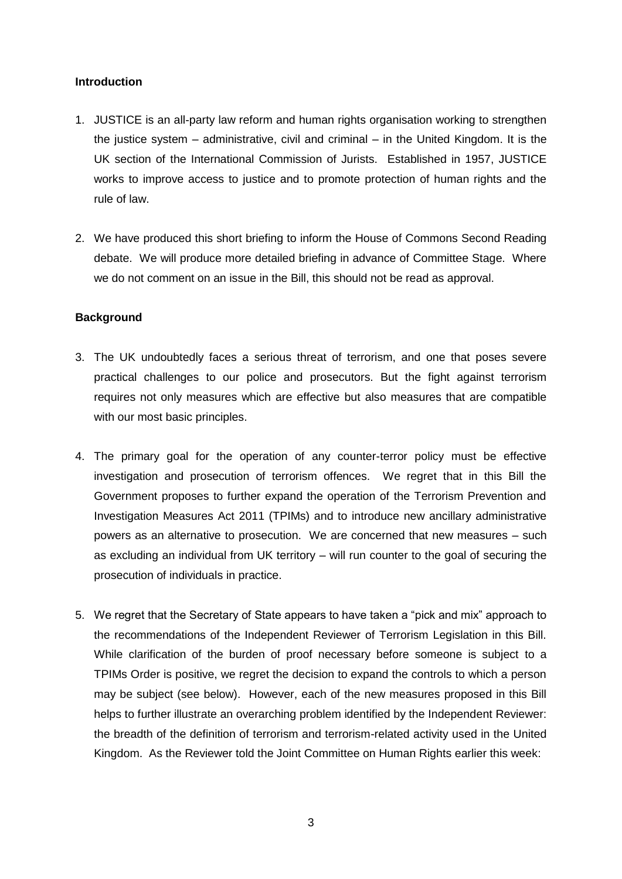## **Introduction**

- 1. JUSTICE is an all-party law reform and human rights organisation working to strengthen the justice system – administrative, civil and criminal – in the United Kingdom. It is the UK section of the International Commission of Jurists. Established in 1957, JUSTICE works to improve access to justice and to promote protection of human rights and the rule of law.
- 2. We have produced this short briefing to inform the House of Commons Second Reading debate. We will produce more detailed briefing in advance of Committee Stage. Where we do not comment on an issue in the Bill, this should not be read as approval.

## **Background**

- 3. The UK undoubtedly faces a serious threat of terrorism, and one that poses severe practical challenges to our police and prosecutors. But the fight against terrorism requires not only measures which are effective but also measures that are compatible with our most basic principles.
- 4. The primary goal for the operation of any counter-terror policy must be effective investigation and prosecution of terrorism offences. We regret that in this Bill the Government proposes to further expand the operation of the Terrorism Prevention and Investigation Measures Act 2011 (TPIMs) and to introduce new ancillary administrative powers as an alternative to prosecution. We are concerned that new measures – such as excluding an individual from UK territory – will run counter to the goal of securing the prosecution of individuals in practice.
- 5. We regret that the Secretary of State appears to have taken a "pick and mix" approach to the recommendations of the Independent Reviewer of Terrorism Legislation in this Bill. While clarification of the burden of proof necessary before someone is subject to a TPIMs Order is positive, we regret the decision to expand the controls to which a person may be subject (see below). However, each of the new measures proposed in this Bill helps to further illustrate an overarching problem identified by the Independent Reviewer: the breadth of the definition of terrorism and terrorism-related activity used in the United Kingdom. As the Reviewer told the Joint Committee on Human Rights earlier this week: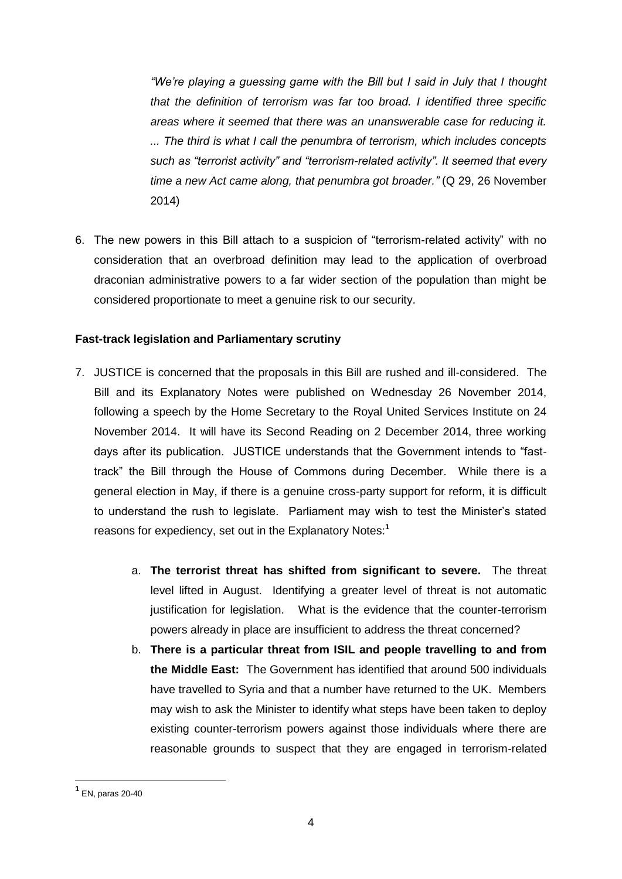*"We're playing a guessing game with the Bill but I said in July that I thought that the definition of terrorism was far too broad. I identified three specific areas where it seemed that there was an unanswerable case for reducing it. ... The third is what I call the penumbra of terrorism, which includes concepts such as "terrorist activity" and "terrorism-related activity". It seemed that every time a new Act came along, that penumbra got broader."* (Q 29, 26 November 2014)

6. The new powers in this Bill attach to a suspicion of "terrorism-related activity" with no consideration that an overbroad definition may lead to the application of overbroad draconian administrative powers to a far wider section of the population than might be considered proportionate to meet a genuine risk to our security.

## **Fast-track legislation and Parliamentary scrutiny**

- 7. JUSTICE is concerned that the proposals in this Bill are rushed and ill-considered. The Bill and its Explanatory Notes were published on Wednesday 26 November 2014, following a speech by the Home Secretary to the Royal United Services Institute on 24 November 2014. It will have its Second Reading on 2 December 2014, three working days after its publication. JUSTICE understands that the Government intends to "fasttrack" the Bill through the House of Commons during December. While there is a general election in May, if there is a genuine cross-party support for reform, it is difficult to understand the rush to legislate. Parliament may wish to test the Minister's stated reasons for expediency, set out in the Explanatory Notes:**<sup>1</sup>**
	- a. **The terrorist threat has shifted from significant to severe.** The threat level lifted in August. Identifying a greater level of threat is not automatic justification for legislation. What is the evidence that the counter-terrorism powers already in place are insufficient to address the threat concerned?
	- b. **There is a particular threat from ISIL and people travelling to and from the Middle East:** The Government has identified that around 500 individuals have travelled to Syria and that a number have returned to the UK. Members may wish to ask the Minister to identify what steps have been taken to deploy existing counter-terrorism powers against those individuals where there are reasonable grounds to suspect that they are engaged in terrorism-related

**<sup>1</sup>** EN, paras 20-40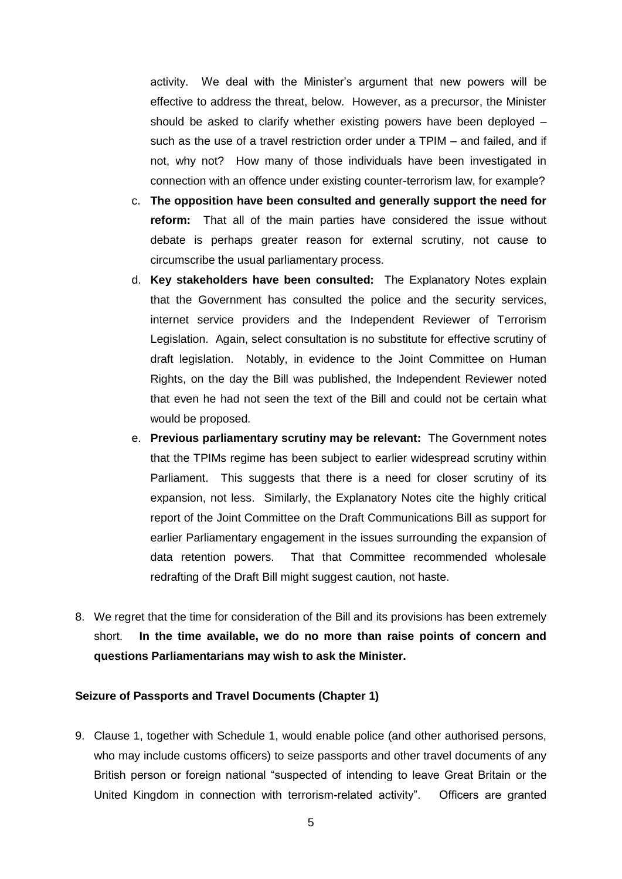activity. We deal with the Minister's argument that new powers will be effective to address the threat, below. However, as a precursor, the Minister should be asked to clarify whether existing powers have been deployed – such as the use of a travel restriction order under a TPIM – and failed, and if not, why not? How many of those individuals have been investigated in connection with an offence under existing counter-terrorism law, for example?

- c. **The opposition have been consulted and generally support the need for reform:** That all of the main parties have considered the issue without debate is perhaps greater reason for external scrutiny, not cause to circumscribe the usual parliamentary process.
- d. **Key stakeholders have been consulted:** The Explanatory Notes explain that the Government has consulted the police and the security services, internet service providers and the Independent Reviewer of Terrorism Legislation. Again, select consultation is no substitute for effective scrutiny of draft legislation. Notably, in evidence to the Joint Committee on Human Rights, on the day the Bill was published, the Independent Reviewer noted that even he had not seen the text of the Bill and could not be certain what would be proposed.
- e. **Previous parliamentary scrutiny may be relevant:** The Government notes that the TPIMs regime has been subject to earlier widespread scrutiny within Parliament. This suggests that there is a need for closer scrutiny of its expansion, not less. Similarly, the Explanatory Notes cite the highly critical report of the Joint Committee on the Draft Communications Bill as support for earlier Parliamentary engagement in the issues surrounding the expansion of data retention powers. That that Committee recommended wholesale redrafting of the Draft Bill might suggest caution, not haste.
- 8. We regret that the time for consideration of the Bill and its provisions has been extremely short. **In the time available, we do no more than raise points of concern and questions Parliamentarians may wish to ask the Minister.**

#### **Seizure of Passports and Travel Documents (Chapter 1)**

9. Clause 1, together with Schedule 1, would enable police (and other authorised persons, who may include customs officers) to seize passports and other travel documents of any British person or foreign national "suspected of intending to leave Great Britain or the United Kingdom in connection with terrorism-related activity". Officers are granted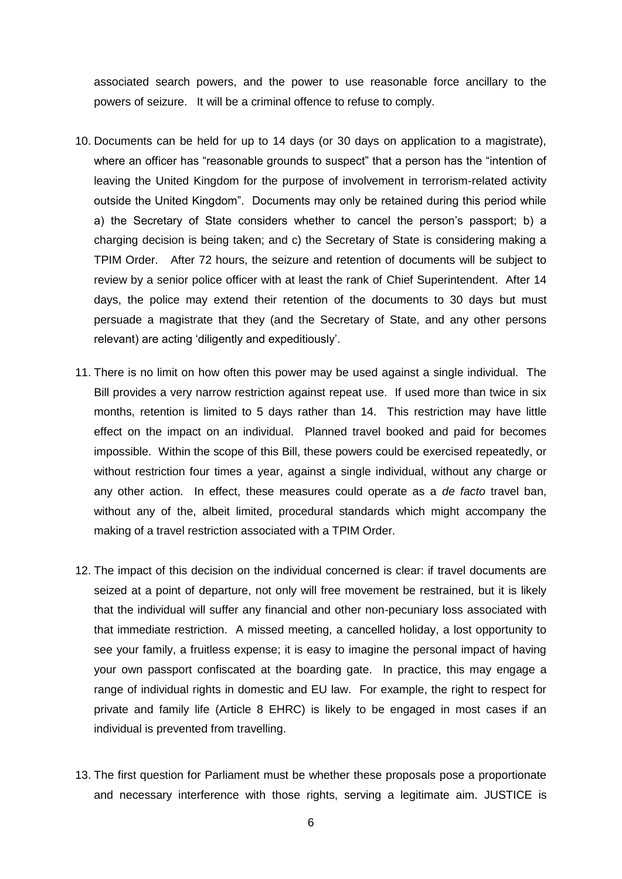associated search powers, and the power to use reasonable force ancillary to the powers of seizure. It will be a criminal offence to refuse to comply.

- 10. Documents can be held for up to 14 days (or 30 days on application to a magistrate), where an officer has "reasonable grounds to suspect" that a person has the "intention of leaving the United Kingdom for the purpose of involvement in terrorism-related activity outside the United Kingdom". Documents may only be retained during this period while a) the Secretary of State considers whether to cancel the person's passport; b) a charging decision is being taken; and c) the Secretary of State is considering making a TPIM Order. After 72 hours, the seizure and retention of documents will be subject to review by a senior police officer with at least the rank of Chief Superintendent. After 14 days, the police may extend their retention of the documents to 30 days but must persuade a magistrate that they (and the Secretary of State, and any other persons relevant) are acting 'diligently and expeditiously'.
- 11. There is no limit on how often this power may be used against a single individual. The Bill provides a very narrow restriction against repeat use. If used more than twice in six months, retention is limited to 5 days rather than 14. This restriction may have little effect on the impact on an individual. Planned travel booked and paid for becomes impossible. Within the scope of this Bill, these powers could be exercised repeatedly, or without restriction four times a year, against a single individual, without any charge or any other action. In effect, these measures could operate as a *de facto* travel ban, without any of the, albeit limited, procedural standards which might accompany the making of a travel restriction associated with a TPIM Order.
- 12. The impact of this decision on the individual concerned is clear: if travel documents are seized at a point of departure, not only will free movement be restrained, but it is likely that the individual will suffer any financial and other non-pecuniary loss associated with that immediate restriction. A missed meeting, a cancelled holiday, a lost opportunity to see your family, a fruitless expense; it is easy to imagine the personal impact of having your own passport confiscated at the boarding gate. In practice, this may engage a range of individual rights in domestic and EU law. For example, the right to respect for private and family life (Article 8 EHRC) is likely to be engaged in most cases if an individual is prevented from travelling.
- 13. The first question for Parliament must be whether these proposals pose a proportionate and necessary interference with those rights, serving a legitimate aim. JUSTICE is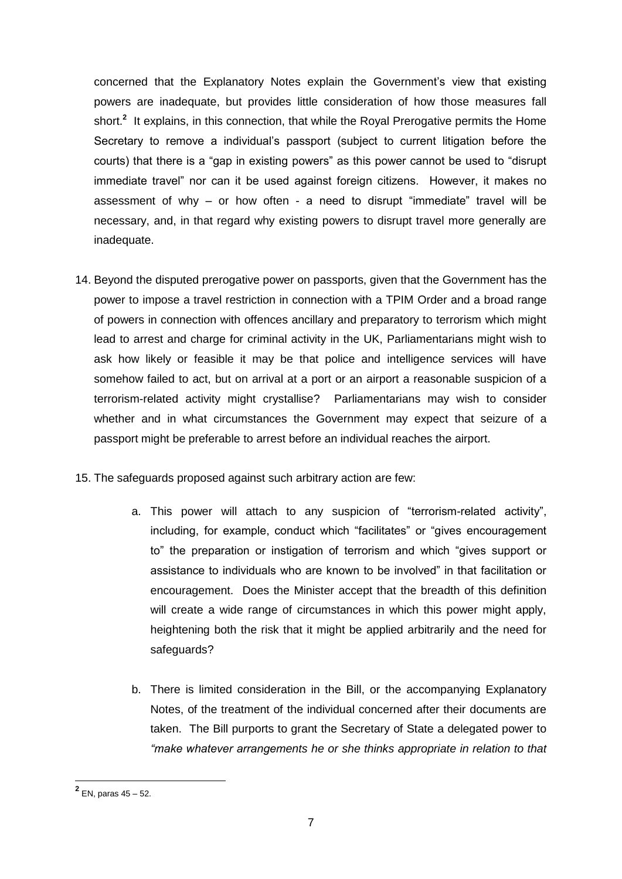concerned that the Explanatory Notes explain the Government's view that existing powers are inadequate, but provides little consideration of how those measures fall short.<sup>2</sup> It explains, in this connection, that while the Royal Prerogative permits the Home Secretary to remove a individual's passport (subject to current litigation before the courts) that there is a "gap in existing powers" as this power cannot be used to "disrupt immediate travel" nor can it be used against foreign citizens. However, it makes no assessment of why – or how often - a need to disrupt "immediate" travel will be necessary, and, in that regard why existing powers to disrupt travel more generally are inadequate.

- 14. Beyond the disputed prerogative power on passports, given that the Government has the power to impose a travel restriction in connection with a TPIM Order and a broad range of powers in connection with offences ancillary and preparatory to terrorism which might lead to arrest and charge for criminal activity in the UK, Parliamentarians might wish to ask how likely or feasible it may be that police and intelligence services will have somehow failed to act, but on arrival at a port or an airport a reasonable suspicion of a terrorism-related activity might crystallise? Parliamentarians may wish to consider whether and in what circumstances the Government may expect that seizure of a passport might be preferable to arrest before an individual reaches the airport.
- 15. The safeguards proposed against such arbitrary action are few:
	- a. This power will attach to any suspicion of "terrorism-related activity", including, for example, conduct which "facilitates" or "gives encouragement to" the preparation or instigation of terrorism and which "gives support or assistance to individuals who are known to be involved" in that facilitation or encouragement. Does the Minister accept that the breadth of this definition will create a wide range of circumstances in which this power might apply, heightening both the risk that it might be applied arbitrarily and the need for safeguards?
	- b. There is limited consideration in the Bill, or the accompanying Explanatory Notes, of the treatment of the individual concerned after their documents are taken. The Bill purports to grant the Secretary of State a delegated power to *"make whatever arrangements he or she thinks appropriate in relation to that*

 **2** EN, paras 45 – 52.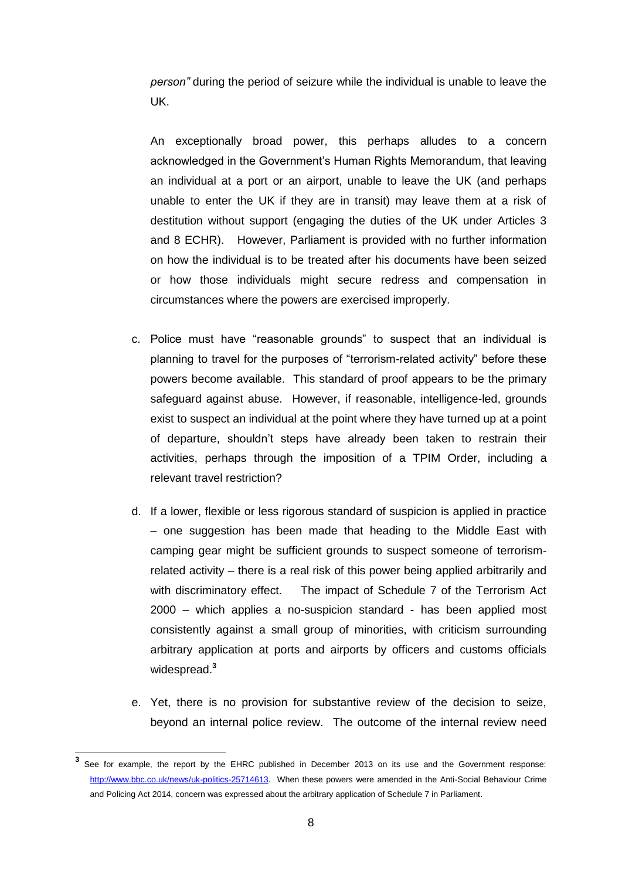*person"* during the period of seizure while the individual is unable to leave the UK.

An exceptionally broad power, this perhaps alludes to a concern acknowledged in the Government's Human Rights Memorandum, that leaving an individual at a port or an airport, unable to leave the UK (and perhaps unable to enter the UK if they are in transit) may leave them at a risk of destitution without support (engaging the duties of the UK under Articles 3 and 8 ECHR). However, Parliament is provided with no further information on how the individual is to be treated after his documents have been seized or how those individuals might secure redress and compensation in circumstances where the powers are exercised improperly.

- c. Police must have "reasonable grounds" to suspect that an individual is planning to travel for the purposes of "terrorism-related activity" before these powers become available. This standard of proof appears to be the primary safeguard against abuse. However, if reasonable, intelligence-led, grounds exist to suspect an individual at the point where they have turned up at a point of departure, shouldn't steps have already been taken to restrain their activities, perhaps through the imposition of a TPIM Order, including a relevant travel restriction?
- d. If a lower, flexible or less rigorous standard of suspicion is applied in practice – one suggestion has been made that heading to the Middle East with camping gear might be sufficient grounds to suspect someone of terrorismrelated activity – there is a real risk of this power being applied arbitrarily and with discriminatory effect. The impact of Schedule 7 of the Terrorism Act 2000 – which applies a no-suspicion standard - has been applied most consistently against a small group of minorities, with criticism surrounding arbitrary application at ports and airports by officers and customs officials widespread.**<sup>3</sup>**
- e. Yet, there is no provision for substantive review of the decision to seize, beyond an internal police review. The outcome of the internal review need

**<sup>3</sup>** See for example, the report by the EHRC published in December 2013 on its use and the Government response: [http://www.bbc.co.uk/news/uk-politics-25714613.](http://www.bbc.co.uk/news/uk-politics-25714613) When these powers were amended in the Anti-Social Behaviour Crime and Policing Act 2014, concern was expressed about the arbitrary application of Schedule 7 in Parliament.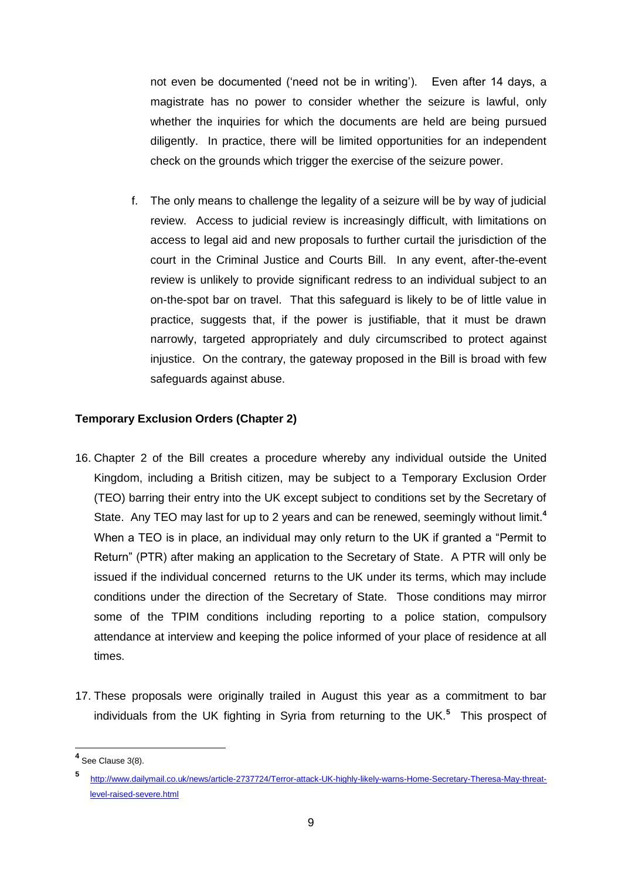not even be documented ('need not be in writing'). Even after 14 days, a magistrate has no power to consider whether the seizure is lawful, only whether the inquiries for which the documents are held are being pursued diligently. In practice, there will be limited opportunities for an independent check on the grounds which trigger the exercise of the seizure power.

f. The only means to challenge the legality of a seizure will be by way of judicial review. Access to judicial review is increasingly difficult, with limitations on access to legal aid and new proposals to further curtail the jurisdiction of the court in the Criminal Justice and Courts Bill. In any event, after-the-event review is unlikely to provide significant redress to an individual subject to an on-the-spot bar on travel. That this safeguard is likely to be of little value in practice, suggests that, if the power is justifiable, that it must be drawn narrowly, targeted appropriately and duly circumscribed to protect against injustice. On the contrary, the gateway proposed in the Bill is broad with few safeguards against abuse.

## **Temporary Exclusion Orders (Chapter 2)**

- 16. Chapter 2 of the Bill creates a procedure whereby any individual outside the United Kingdom, including a British citizen, may be subject to a Temporary Exclusion Order (TEO) barring their entry into the UK except subject to conditions set by the Secretary of State. Any TEO may last for up to 2 years and can be renewed, seemingly without limit.**<sup>4</sup>** When a TEO is in place, an individual may only return to the UK if granted a "Permit to Return" (PTR) after making an application to the Secretary of State. A PTR will only be issued if the individual concerned returns to the UK under its terms, which may include conditions under the direction of the Secretary of State. Those conditions may mirror some of the TPIM conditions including reporting to a police station, compulsory attendance at interview and keeping the police informed of your place of residence at all times.
- 17. These proposals were originally trailed in August this year as a commitment to bar individuals from the UK fighting in Syria from returning to the UK.**<sup>5</sup>** This prospect of

 **4** See Clause 3(8).

**<sup>5</sup>** [http://www.dailymail.co.uk/news/article-2737724/Terror-attack-UK-highly-likely-warns-Home-Secretary-Theresa-May-threat](http://www.dailymail.co.uk/news/article-2737724/Terror-attack-UK-highly-likely-warns-Home-Secretary-Theresa-May-threat-level-raised-severe.html)[level-raised-severe.html](http://www.dailymail.co.uk/news/article-2737724/Terror-attack-UK-highly-likely-warns-Home-Secretary-Theresa-May-threat-level-raised-severe.html)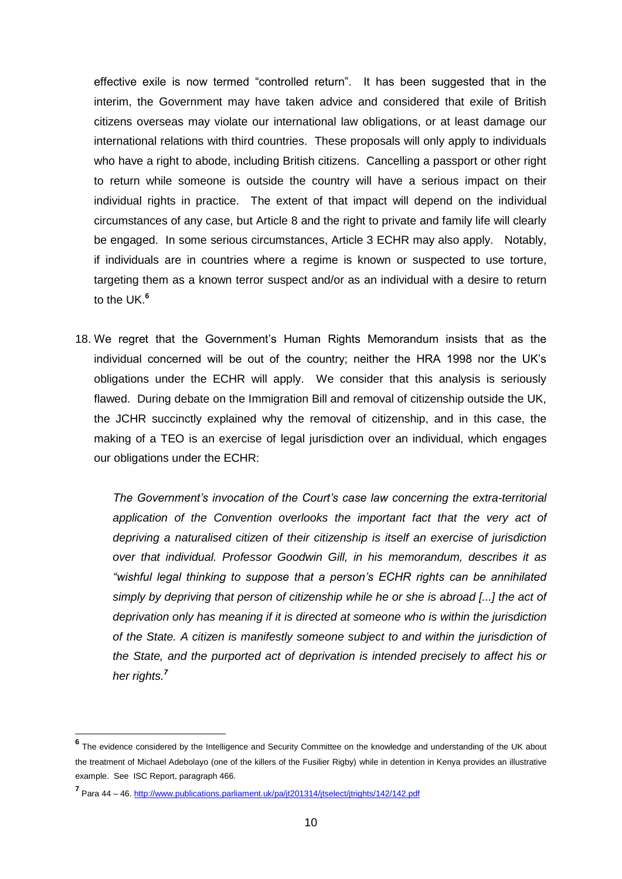effective exile is now termed "controlled return". It has been suggested that in the interim, the Government may have taken advice and considered that exile of British citizens overseas may violate our international law obligations, or at least damage our international relations with third countries. These proposals will only apply to individuals who have a right to abode, including British citizens. Cancelling a passport or other right to return while someone is outside the country will have a serious impact on their individual rights in practice. The extent of that impact will depend on the individual circumstances of any case, but Article 8 and the right to private and family life will clearly be engaged. In some serious circumstances, Article 3 ECHR may also apply. Notably, if individuals are in countries where a regime is known or suspected to use torture, targeting them as a known terror suspect and/or as an individual with a desire to return to the UK.**<sup>6</sup>**

18. We regret that the Government's Human Rights Memorandum insists that as the individual concerned will be out of the country; neither the HRA 1998 nor the UK's obligations under the ECHR will apply. We consider that this analysis is seriously flawed. During debate on the Immigration Bill and removal of citizenship outside the UK, the JCHR succinctly explained why the removal of citizenship, and in this case, the making of a TEO is an exercise of legal jurisdiction over an individual, which engages our obligations under the ECHR:

*The Government's invocation of the Court's case law concerning the extra-territorial*  application of the Convention overlooks the important fact that the very act of *depriving a naturalised citizen of their citizenship is itself an exercise of jurisdiction over that individual. Professor Goodwin Gill, in his memorandum, describes it as "wishful legal thinking to suppose that a person's ECHR rights can be annihilated simply by depriving that person of citizenship while he or she is abroad [...] the act of deprivation only has meaning if it is directed at someone who is within the jurisdiction of the State. A citizen is manifestly someone subject to and within the jurisdiction of the State, and the purported act of deprivation is intended precisely to affect his or her rights.<sup>7</sup>*

**<sup>6</sup>** The evidence considered by the Intelligence and Security Committee on the knowledge and understanding of the UK about the treatment of Michael Adebolayo (one of the killers of the Fusilier Rigby) while in detention in Kenya provides an illustrative example. See ISC Report, paragraph 466.

**<sup>7</sup>** Para 44 – 46[. http://www.publications.parliament.uk/pa/jt201314/jtselect/jtrights/142/142.pdf](http://www.publications.parliament.uk/pa/jt201314/jtselect/jtrights/142/142.pdf)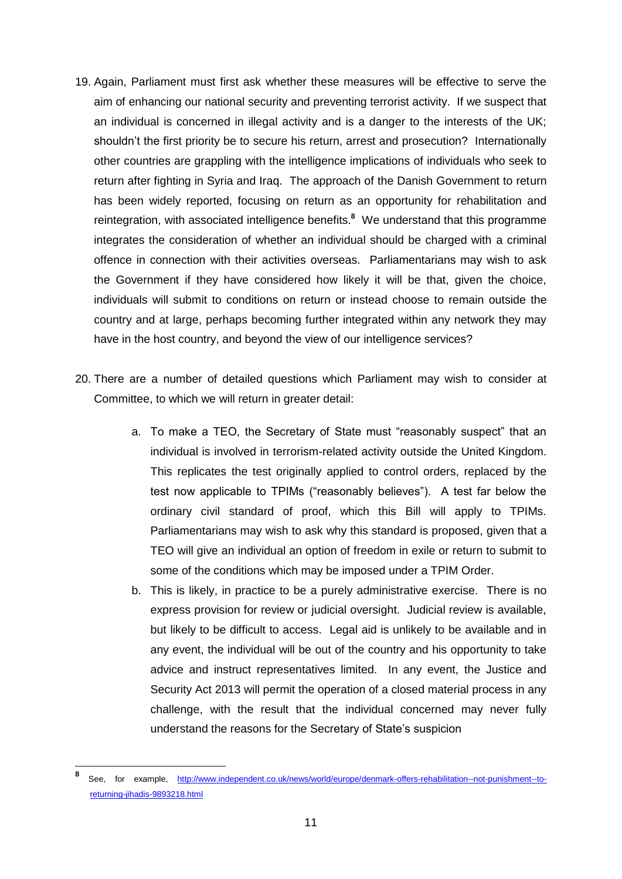- 19. Again, Parliament must first ask whether these measures will be effective to serve the aim of enhancing our national security and preventing terrorist activity. If we suspect that an individual is concerned in illegal activity and is a danger to the interests of the UK; shouldn't the first priority be to secure his return, arrest and prosecution? Internationally other countries are grappling with the intelligence implications of individuals who seek to return after fighting in Syria and Iraq. The approach of the Danish Government to return has been widely reported, focusing on return as an opportunity for rehabilitation and reintegration, with associated intelligence benefits.**<sup>8</sup>** We understand that this programme integrates the consideration of whether an individual should be charged with a criminal offence in connection with their activities overseas. Parliamentarians may wish to ask the Government if they have considered how likely it will be that, given the choice, individuals will submit to conditions on return or instead choose to remain outside the country and at large, perhaps becoming further integrated within any network they may have in the host country, and beyond the view of our intelligence services?
- 20. There are a number of detailed questions which Parliament may wish to consider at Committee, to which we will return in greater detail:
	- a. To make a TEO, the Secretary of State must "reasonably suspect" that an individual is involved in terrorism-related activity outside the United Kingdom. This replicates the test originally applied to control orders, replaced by the test now applicable to TPIMs ("reasonably believes"). A test far below the ordinary civil standard of proof, which this Bill will apply to TPIMs. Parliamentarians may wish to ask why this standard is proposed, given that a TEO will give an individual an option of freedom in exile or return to submit to some of the conditions which may be imposed under a TPIM Order.
	- b. This is likely, in practice to be a purely administrative exercise. There is no express provision for review or judicial oversight. Judicial review is available, but likely to be difficult to access. Legal aid is unlikely to be available and in any event, the individual will be out of the country and his opportunity to take advice and instruct representatives limited. In any event, the Justice and Security Act 2013 will permit the operation of a closed material process in any challenge, with the result that the individual concerned may never fully understand the reasons for the Secretary of State's suspicion

**<sup>8</sup>** See, for example, [http://www.independent.co.uk/news/world/europe/denmark-offers-rehabilitation--not-punishment--to](http://www.independent.co.uk/news/world/europe/denmark-offers-rehabilitation--not-punishment--to-returning-jihadis-9893218.html)[returning-jihadis-9893218.html](http://www.independent.co.uk/news/world/europe/denmark-offers-rehabilitation--not-punishment--to-returning-jihadis-9893218.html)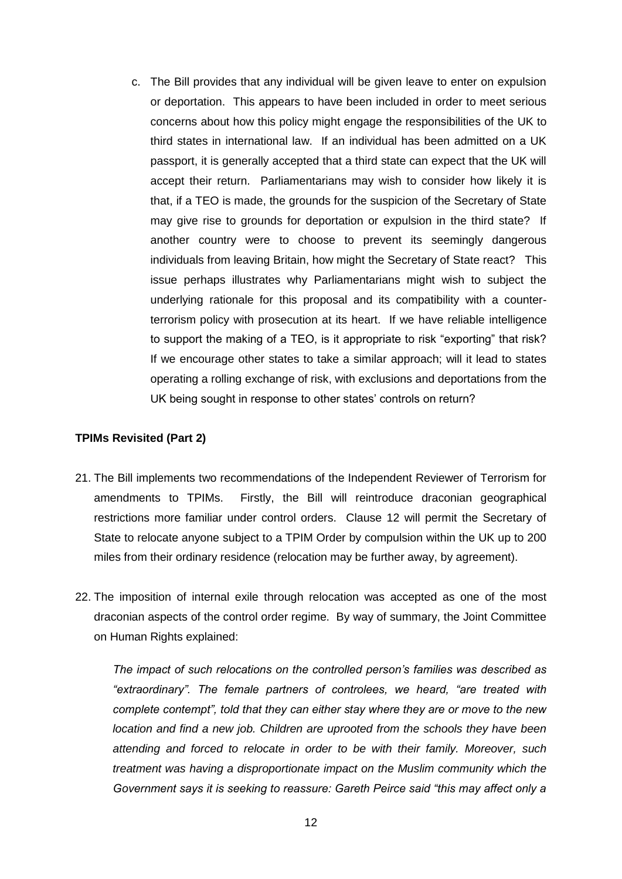c. The Bill provides that any individual will be given leave to enter on expulsion or deportation. This appears to have been included in order to meet serious concerns about how this policy might engage the responsibilities of the UK to third states in international law. If an individual has been admitted on a UK passport, it is generally accepted that a third state can expect that the UK will accept their return. Parliamentarians may wish to consider how likely it is that, if a TEO is made, the grounds for the suspicion of the Secretary of State may give rise to grounds for deportation or expulsion in the third state? If another country were to choose to prevent its seemingly dangerous individuals from leaving Britain, how might the Secretary of State react? This issue perhaps illustrates why Parliamentarians might wish to subject the underlying rationale for this proposal and its compatibility with a counterterrorism policy with prosecution at its heart. If we have reliable intelligence to support the making of a TEO, is it appropriate to risk "exporting" that risk? If we encourage other states to take a similar approach; will it lead to states operating a rolling exchange of risk, with exclusions and deportations from the UK being sought in response to other states' controls on return?

## **TPIMs Revisited (Part 2)**

- 21. The Bill implements two recommendations of the Independent Reviewer of Terrorism for amendments to TPIMs. Firstly, the Bill will reintroduce draconian geographical restrictions more familiar under control orders. Clause 12 will permit the Secretary of State to relocate anyone subject to a TPIM Order by compulsion within the UK up to 200 miles from their ordinary residence (relocation may be further away, by agreement).
- 22. The imposition of internal exile through relocation was accepted as one of the most draconian aspects of the control order regime. By way of summary, the Joint Committee on Human Rights explained:

*The impact of such relocations on the controlled person's families was described as "extraordinary". The female partners of controlees, we heard, "are treated with complete contempt", told that they can either stay where they are or move to the new location and find a new job. Children are uprooted from the schools they have been attending and forced to relocate in order to be with their family. Moreover, such treatment was having a disproportionate impact on the Muslim community which the Government says it is seeking to reassure: Gareth Peirce said "this may affect only a*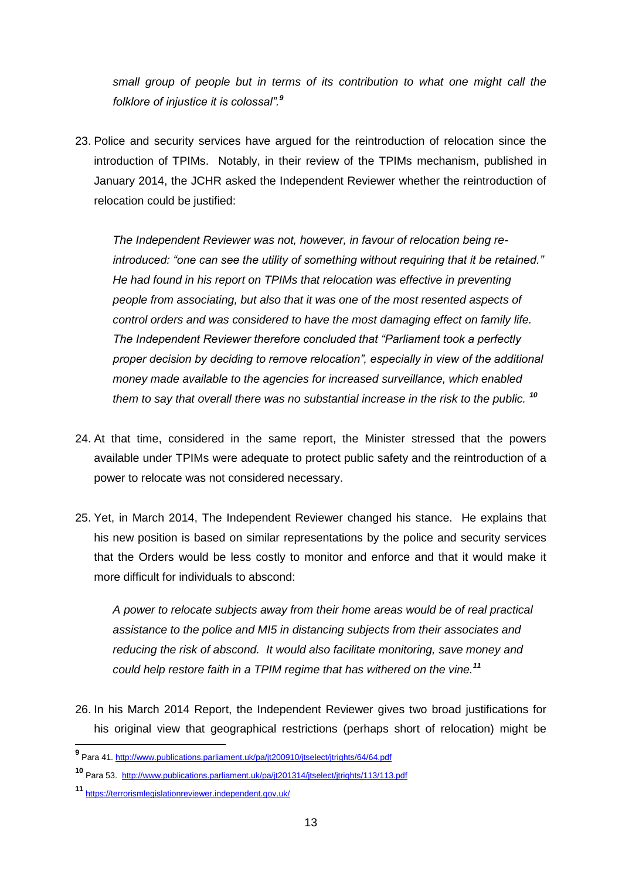*small group of people but in terms of its contribution to what one might call the folklore of injustice it is colossal".<sup>9</sup>*

23. Police and security services have argued for the reintroduction of relocation since the introduction of TPIMs. Notably, in their review of the TPIMs mechanism, published in January 2014, the JCHR asked the Independent Reviewer whether the reintroduction of relocation could be justified:

*The Independent Reviewer was not, however, in favour of relocation being reintroduced: "one can see the utility of something without requiring that it be retained." He had found in his report on TPIMs that relocation was effective in preventing people from associating, but also that it was one of the most resented aspects of control orders and was considered to have the most damaging effect on family life. The Independent Reviewer therefore concluded that "Parliament took a perfectly proper decision by deciding to remove relocation", especially in view of the additional money made available to the agencies for increased surveillance, which enabled them to say that overall there was no substantial increase in the risk to the public. <sup>10</sup>*

- 24. At that time, considered in the same report, the Minister stressed that the powers available under TPIMs were adequate to protect public safety and the reintroduction of a power to relocate was not considered necessary.
- 25. Yet, in March 2014, The Independent Reviewer changed his stance. He explains that his new position is based on similar representations by the police and security services that the Orders would be less costly to monitor and enforce and that it would make it more difficult for individuals to abscond:

*A power to relocate subjects away from their home areas would be of real practical assistance to the police and MI5 in distancing subjects from their associates and reducing the risk of abscond. It would also facilitate monitoring, save money and could help restore faith in a TPIM regime that has withered on the vine.<sup>11</sup>*

26. In his March 2014 Report, the Independent Reviewer gives two broad justifications for his original view that geographical restrictions (perhaps short of relocation) might be

 **9** Para 41[. http://www.publications.parliament.uk/pa/jt200910/jtselect/jtrights/64/64.pdf](http://www.publications.parliament.uk/pa/jt200910/jtselect/jtrights/64/64.pdf) 

**<sup>10</sup>** Para 53.<http://www.publications.parliament.uk/pa/jt201314/jtselect/jtrights/113/113.pdf>

**<sup>11</sup>** <https://terrorismlegislationreviewer.independent.gov.uk/>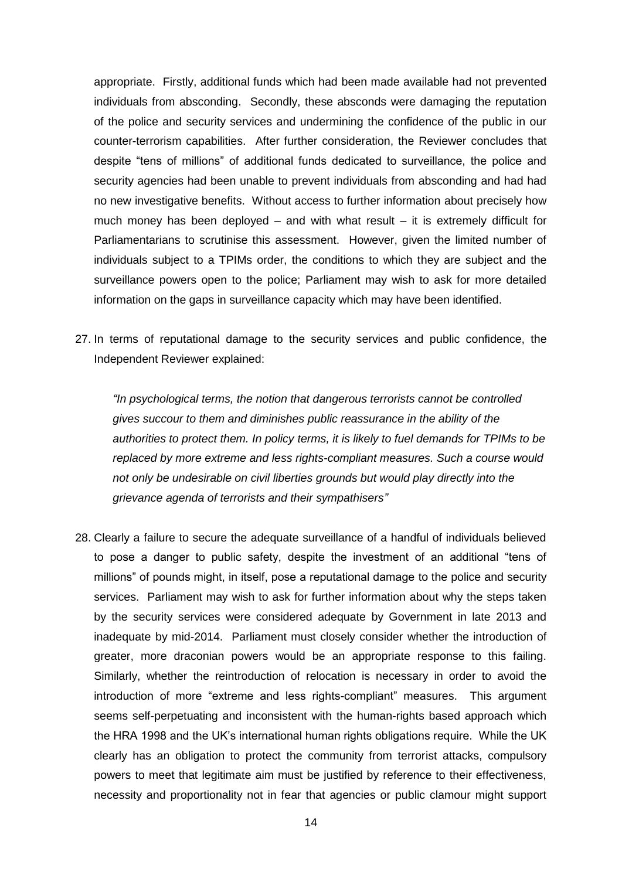appropriate. Firstly, additional funds which had been made available had not prevented individuals from absconding. Secondly, these absconds were damaging the reputation of the police and security services and undermining the confidence of the public in our counter-terrorism capabilities. After further consideration, the Reviewer concludes that despite "tens of millions" of additional funds dedicated to surveillance, the police and security agencies had been unable to prevent individuals from absconding and had had no new investigative benefits. Without access to further information about precisely how much money has been deployed – and with what result – it is extremely difficult for Parliamentarians to scrutinise this assessment. However, given the limited number of individuals subject to a TPIMs order, the conditions to which they are subject and the surveillance powers open to the police; Parliament may wish to ask for more detailed information on the gaps in surveillance capacity which may have been identified.

27. In terms of reputational damage to the security services and public confidence, the Independent Reviewer explained:

*"In psychological terms, the notion that dangerous terrorists cannot be controlled gives succour to them and diminishes public reassurance in the ability of the authorities to protect them. In policy terms, it is likely to fuel demands for TPIMs to be replaced by more extreme and less rights-compliant measures. Such a course would not only be undesirable on civil liberties grounds but would play directly into the grievance agenda of terrorists and their sympathisers"*

28. Clearly a failure to secure the adequate surveillance of a handful of individuals believed to pose a danger to public safety, despite the investment of an additional "tens of millions" of pounds might, in itself, pose a reputational damage to the police and security services. Parliament may wish to ask for further information about why the steps taken by the security services were considered adequate by Government in late 2013 and inadequate by mid-2014. Parliament must closely consider whether the introduction of greater, more draconian powers would be an appropriate response to this failing. Similarly, whether the reintroduction of relocation is necessary in order to avoid the introduction of more "extreme and less rights-compliant" measures. This argument seems self-perpetuating and inconsistent with the human-rights based approach which the HRA 1998 and the UK's international human rights obligations require. While the UK clearly has an obligation to protect the community from terrorist attacks, compulsory powers to meet that legitimate aim must be justified by reference to their effectiveness, necessity and proportionality not in fear that agencies or public clamour might support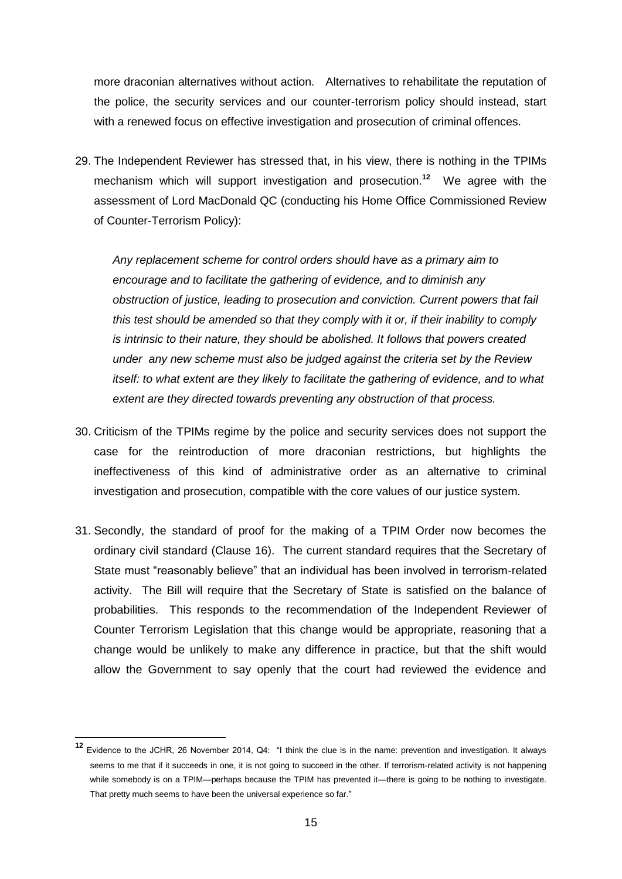more draconian alternatives without action. Alternatives to rehabilitate the reputation of the police, the security services and our counter-terrorism policy should instead, start with a renewed focus on effective investigation and prosecution of criminal offences.

29. The Independent Reviewer has stressed that, in his view, there is nothing in the TPIMs mechanism which will support investigation and prosecution.**<sup>12</sup>** We agree with the assessment of Lord MacDonald QC (conducting his Home Office Commissioned Review of Counter-Terrorism Policy):

*Any replacement scheme for control orders should have as a primary aim to encourage and to facilitate the gathering of evidence, and to diminish any obstruction of justice, leading to prosecution and conviction. Current powers that fail this test should be amended so that they comply with it or, if their inability to comply is intrinsic to their nature, they should be abolished. It follows that powers created under any new scheme must also be judged against the criteria set by the Review itself: to what extent are they likely to facilitate the gathering of evidence, and to what extent are they directed towards preventing any obstruction of that process.*

- 30. Criticism of the TPIMs regime by the police and security services does not support the case for the reintroduction of more draconian restrictions, but highlights the ineffectiveness of this kind of administrative order as an alternative to criminal investigation and prosecution, compatible with the core values of our justice system.
- 31. Secondly, the standard of proof for the making of a TPIM Order now becomes the ordinary civil standard (Clause 16). The current standard requires that the Secretary of State must "reasonably believe" that an individual has been involved in terrorism-related activity. The Bill will require that the Secretary of State is satisfied on the balance of probabilities. This responds to the recommendation of the Independent Reviewer of Counter Terrorism Legislation that this change would be appropriate, reasoning that a change would be unlikely to make any difference in practice, but that the shift would allow the Government to say openly that the court had reviewed the evidence and

**<sup>12</sup>** Evidence to the JCHR, 26 November 2014, Q4: "I think the clue is in the name: prevention and investigation. It always seems to me that if it succeeds in one, it is not going to succeed in the other. If terrorism-related activity is not happening while somebody is on a TPIM—perhaps because the TPIM has prevented it—there is going to be nothing to investigate. That pretty much seems to have been the universal experience so far."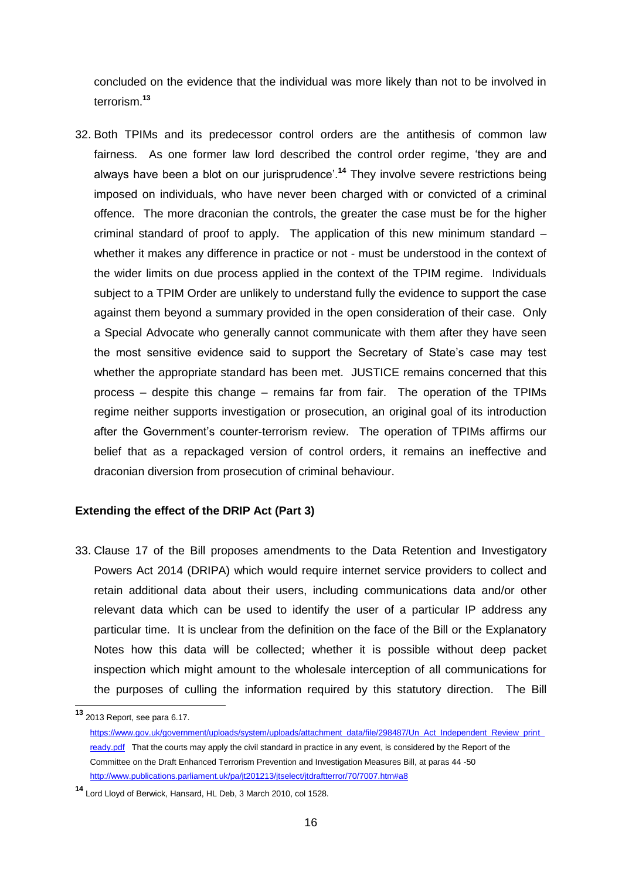concluded on the evidence that the individual was more likely than not to be involved in terrorism.**<sup>13</sup>**

32. Both TPIMs and its predecessor control orders are the antithesis of common law fairness. As one former law lord described the control order regime, 'they are and always have been a blot on our jurisprudence'.**<sup>14</sup>** They involve severe restrictions being imposed on individuals, who have never been charged with or convicted of a criminal offence. The more draconian the controls, the greater the case must be for the higher criminal standard of proof to apply. The application of this new minimum standard – whether it makes any difference in practice or not - must be understood in the context of the wider limits on due process applied in the context of the TPIM regime. Individuals subject to a TPIM Order are unlikely to understand fully the evidence to support the case against them beyond a summary provided in the open consideration of their case. Only a Special Advocate who generally cannot communicate with them after they have seen the most sensitive evidence said to support the Secretary of State's case may test whether the appropriate standard has been met. JUSTICE remains concerned that this process – despite this change – remains far from fair. The operation of the TPIMs regime neither supports investigation or prosecution, an original goal of its introduction after the Government's counter-terrorism review. The operation of TPIMs affirms our belief that as a repackaged version of control orders, it remains an ineffective and draconian diversion from prosecution of criminal behaviour.

## **Extending the effect of the DRIP Act (Part 3)**

33. Clause 17 of the Bill proposes amendments to the Data Retention and Investigatory Powers Act 2014 (DRIPA) which would require internet service providers to collect and retain additional data about their users, including communications data and/or other relevant data which can be used to identify the user of a particular IP address any particular time. It is unclear from the definition on the face of the Bill or the Explanatory Notes how this data will be collected; whether it is possible without deep packet inspection which might amount to the wholesale interception of all communications for the purposes of culling the information required by this statutory direction. The Bill

**<sup>13</sup>** 2013 Report, see para 6.17.

https://www.gov.uk/government/uploads/system/uploads/attachment\_data/file/298487/Un\_Act\_Independent\_Review\_print [ready.pdf](https://www.gov.uk/government/uploads/system/uploads/attachment_data/file/298487/Un_Act_Independent_Review_print_ready.pdf) That the courts may apply the civil standard in practice in any event, is considered by the Report of the Committee on the Draft Enhanced Terrorism Prevention and Investigation Measures Bill, at paras 44 -50 <http://www.publications.parliament.uk/pa/jt201213/jtselect/jtdraftterror/70/7007.htm#a8>

**<sup>14</sup>** Lord Lloyd of Berwick, Hansard, HL Deb, 3 March 2010, col 1528.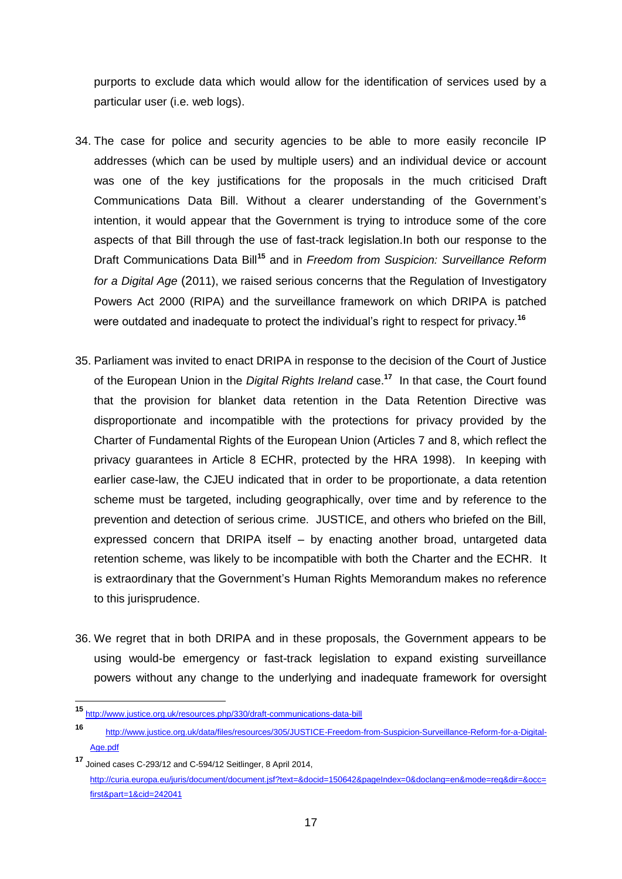purports to exclude data which would allow for the identification of services used by a particular user (i.e. web logs).

- 34. The case for police and security agencies to be able to more easily reconcile IP addresses (which can be used by multiple users) and an individual device or account was one of the key justifications for the proposals in the much criticised Draft Communications Data Bill. Without a clearer understanding of the Government's intention, it would appear that the Government is trying to introduce some of the core aspects of that Bill through the use of fast-track legislation.In both our response to the Draft Communications Data Bill**<sup>15</sup>** and in *Freedom from Suspicion: Surveillance Reform for a Digital Age* (2011), we raised serious concerns that the Regulation of Investigatory Powers Act 2000 (RIPA) and the surveillance framework on which DRIPA is patched were outdated and inadequate to protect the individual's right to respect for privacy.**<sup>16</sup>**
- 35. Parliament was invited to enact DRIPA in response to the decision of the Court of Justice of the European Union in the *Digital Rights Ireland* case.**<sup>17</sup>** In that case, the Court found that the provision for blanket data retention in the Data Retention Directive was disproportionate and incompatible with the protections for privacy provided by the Charter of Fundamental Rights of the European Union (Articles 7 and 8, which reflect the privacy guarantees in Article 8 ECHR, protected by the HRA 1998). In keeping with earlier case-law, the CJEU indicated that in order to be proportionate, a data retention scheme must be targeted, including geographically, over time and by reference to the prevention and detection of serious crime. JUSTICE, and others who briefed on the Bill, expressed concern that DRIPA itself – by enacting another broad, untargeted data retention scheme, was likely to be incompatible with both the Charter and the ECHR. It is extraordinary that the Government's Human Rights Memorandum makes no reference to this jurisprudence.
- 36. We regret that in both DRIPA and in these proposals, the Government appears to be using would-be emergency or fast-track legislation to expand existing surveillance powers without any change to the underlying and inadequate framework for oversight

**<sup>15</sup>** <http://www.justice.org.uk/resources.php/330/draft-communications-data-bill>

**<sup>16</sup>** [http://www.justice.org.uk/data/files/resources/305/JUSTICE-Freedom-from-Suspicion-Surveillance-Reform-for-a-Digital-](http://www.justice.org.uk/data/files/resources/305/JUSTICE-Freedom-from-Suspicion-Surveillance-Reform-for-a-Digital-Age.pdf)[Age.pdf](http://www.justice.org.uk/data/files/resources/305/JUSTICE-Freedom-from-Suspicion-Surveillance-Reform-for-a-Digital-Age.pdf)

**<sup>17</sup>** Joined cases C-293/12 and C-594/12 Seitlinger, 8 April 2014, [http://curia.europa.eu/juris/document/document.jsf?text=&docid=150642&pageIndex=0&doclang=en&mode=req&dir=&occ=](http://curia.europa.eu/juris/document/document.jsf?text=&docid=150642&pageIndex=0&doclang=en&mode=req&dir=&occ=first&part=1&cid=242041) [first&part=1&cid=242041](http://curia.europa.eu/juris/document/document.jsf?text=&docid=150642&pageIndex=0&doclang=en&mode=req&dir=&occ=first&part=1&cid=242041)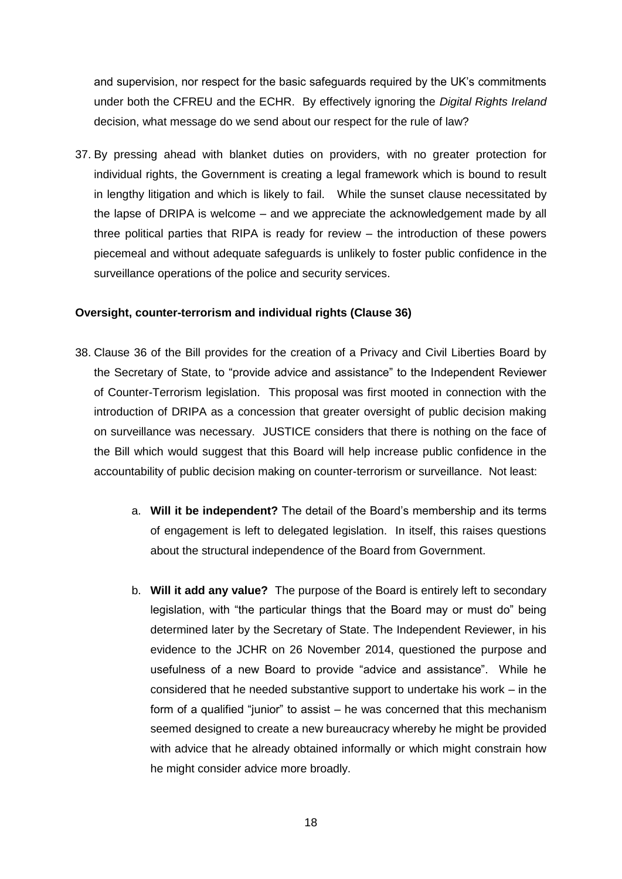and supervision, nor respect for the basic safeguards required by the UK's commitments under both the CFREU and the ECHR. By effectively ignoring the *Digital Rights Ireland*  decision, what message do we send about our respect for the rule of law?

37. By pressing ahead with blanket duties on providers, with no greater protection for individual rights, the Government is creating a legal framework which is bound to result in lengthy litigation and which is likely to fail. While the sunset clause necessitated by the lapse of DRIPA is welcome – and we appreciate the acknowledgement made by all three political parties that RIPA is ready for review – the introduction of these powers piecemeal and without adequate safeguards is unlikely to foster public confidence in the surveillance operations of the police and security services.

## **Oversight, counter-terrorism and individual rights (Clause 36)**

- 38. Clause 36 of the Bill provides for the creation of a Privacy and Civil Liberties Board by the Secretary of State, to "provide advice and assistance" to the Independent Reviewer of Counter-Terrorism legislation. This proposal was first mooted in connection with the introduction of DRIPA as a concession that greater oversight of public decision making on surveillance was necessary. JUSTICE considers that there is nothing on the face of the Bill which would suggest that this Board will help increase public confidence in the accountability of public decision making on counter-terrorism or surveillance. Not least:
	- a. **Will it be independent?** The detail of the Board's membership and its terms of engagement is left to delegated legislation. In itself, this raises questions about the structural independence of the Board from Government.
	- b. **Will it add any value?** The purpose of the Board is entirely left to secondary legislation, with "the particular things that the Board may or must do" being determined later by the Secretary of State. The Independent Reviewer, in his evidence to the JCHR on 26 November 2014, questioned the purpose and usefulness of a new Board to provide "advice and assistance". While he considered that he needed substantive support to undertake his work – in the form of a qualified "junior" to assist – he was concerned that this mechanism seemed designed to create a new bureaucracy whereby he might be provided with advice that he already obtained informally or which might constrain how he might consider advice more broadly.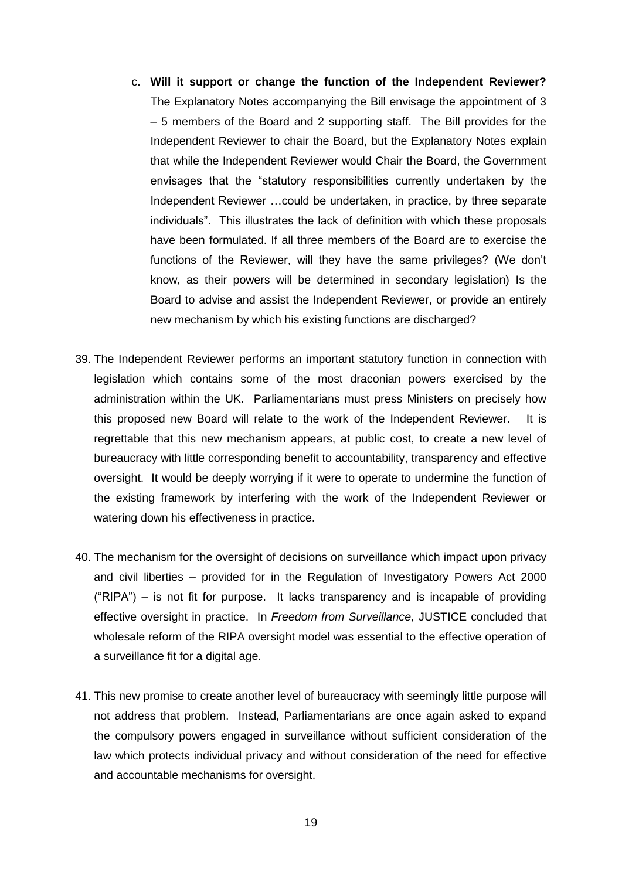- c. **Will it support or change the function of the Independent Reviewer?** The Explanatory Notes accompanying the Bill envisage the appointment of 3 – 5 members of the Board and 2 supporting staff. The Bill provides for the Independent Reviewer to chair the Board, but the Explanatory Notes explain that while the Independent Reviewer would Chair the Board, the Government envisages that the "statutory responsibilities currently undertaken by the Independent Reviewer …could be undertaken, in practice, by three separate individuals". This illustrates the lack of definition with which these proposals have been formulated. If all three members of the Board are to exercise the functions of the Reviewer, will they have the same privileges? (We don't know, as their powers will be determined in secondary legislation) Is the Board to advise and assist the Independent Reviewer, or provide an entirely new mechanism by which his existing functions are discharged?
- 39. The Independent Reviewer performs an important statutory function in connection with legislation which contains some of the most draconian powers exercised by the administration within the UK. Parliamentarians must press Ministers on precisely how this proposed new Board will relate to the work of the Independent Reviewer. It is regrettable that this new mechanism appears, at public cost, to create a new level of bureaucracy with little corresponding benefit to accountability, transparency and effective oversight. It would be deeply worrying if it were to operate to undermine the function of the existing framework by interfering with the work of the Independent Reviewer or watering down his effectiveness in practice.
- 40. The mechanism for the oversight of decisions on surveillance which impact upon privacy and civil liberties – provided for in the Regulation of Investigatory Powers Act 2000 ("RIPA") – is not fit for purpose. It lacks transparency and is incapable of providing effective oversight in practice. In *Freedom from Surveillance,* JUSTICE concluded that wholesale reform of the RIPA oversight model was essential to the effective operation of a surveillance fit for a digital age.
- 41. This new promise to create another level of bureaucracy with seemingly little purpose will not address that problem. Instead, Parliamentarians are once again asked to expand the compulsory powers engaged in surveillance without sufficient consideration of the law which protects individual privacy and without consideration of the need for effective and accountable mechanisms for oversight.